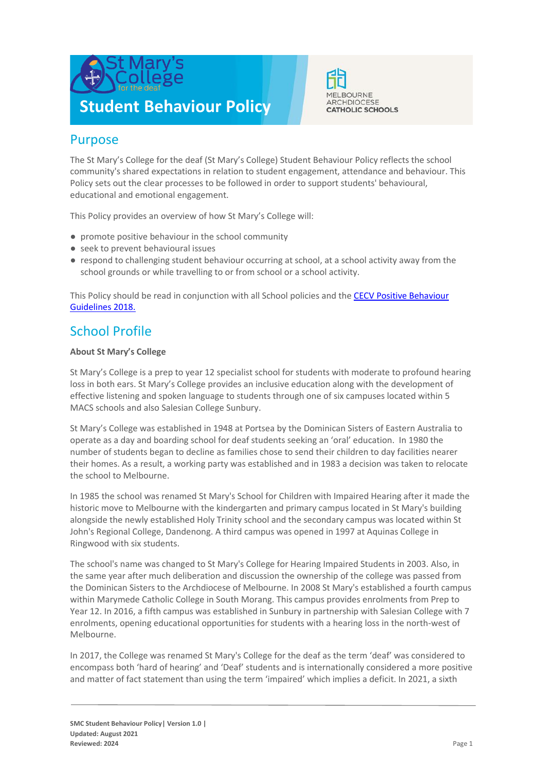



## Purpose

The St Mary's College for the deaf (St Mary's College) Student Behaviour Policy reflects the school community's shared expectations in relation to student engagement, attendance and behaviour. This Policy sets out the clear processes to be followed in order to support students' behavioural, educational and emotional engagement.

This Policy provides an overview of how St Mary's College will:

- promote positive behaviour in the school community
- seek to prevent behavioural issues
- respond to challenging student behaviour occurring at school, at a school activity away from the school grounds or while travelling to or from school or a school activity.

This Policy should be read in conjunction with all School policies and the CECV Positive Behaviour [Guidelines 2018.](https://www.cecv.catholic.edu.au/getmedia/bc1d235d-9a98-4bb4-b3ac-84b50fa7c639/CECV-Positive-Behaviour-Guidelines_FINAL2.aspx?ext=.pdf)

# School Profile

## **About St Mary's College**

St Mary's College is a prep to year 12 specialist school for students with moderate to profound hearing loss in both ears. St Mary's College provides an inclusive education along with the development of effective listening and spoken language to students through one of six campuses located within 5 MACS schools and also Salesian College Sunbury.

St Mary's College was established in 1948 at Portsea by the Dominican Sisters of Eastern Australia to operate as a day and boarding school for deaf students seeking an 'oral' education. In 1980 the number of students began to decline as families chose to send their children to day facilities nearer their homes. As a result, a working party was established and in 1983 a decision was taken to relocate the school to Melbourne.

In 1985 the school was renamed St Mary's School for Children with Impaired Hearing after it made the historic move to Melbourne with the kindergarten and primary campus located in St Mary's building alongside the newly established Holy Trinity school and the secondary campus was located within St John's Regional College, Dandenong. A third campus was opened in 1997 at Aquinas College in Ringwood with six students.

The school's name was changed to St Mary's College for Hearing Impaired Students in 2003. Also, in the same year after much deliberation and discussion the ownership of the college was passed from the Dominican Sisters to the Archdiocese of Melbourne. In 2008 St Mary's established a fourth campus within Marymede Catholic College in South Morang. This campus provides enrolments from Prep to Year 12. In 2016, a fifth campus was established in Sunbury in partnership with Salesian College with 7 enrolments, opening educational opportunities for students with a hearing loss in the north-west of Melbourne.

In 2017, the College was renamed St Mary's College for the deaf as the term 'deaf' was considered to encompass both 'hard of hearing' and 'Deaf' students and is internationally considered a more positive and matter of fact statement than using the term 'impaired' which implies a deficit. In 2021, a sixth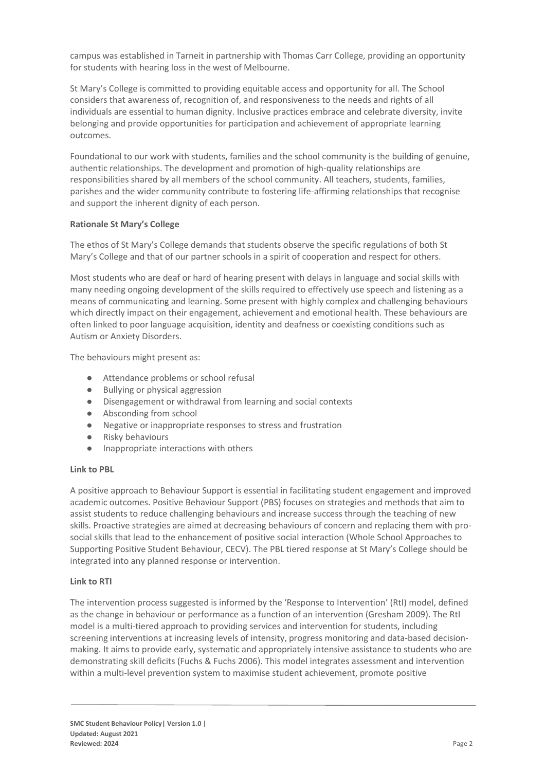campus was established in Tarneit in partnership with Thomas Carr College, providing an opportunity for students with hearing loss in the west of Melbourne.

St Mary's College is committed to providing equitable access and opportunity for all. The School considers that awareness of, recognition of, and responsiveness to the needs and rights of all individuals are essential to human dignity. Inclusive practices embrace and celebrate diversity, invite belonging and provide opportunities for participation and achievement of appropriate learning outcomes.

Foundational to our work with students, families and the school community is the building of genuine, authentic relationships. The development and promotion of high-quality relationships are responsibilities shared by all members of the school community. All teachers, students, families, parishes and the wider community contribute to fostering life-affirming relationships that recognise and support the inherent dignity of each person.

## **Rationale St Mary's College**

The ethos of St Mary's College demands that students observe the specific regulations of both St Mary's College and that of our partner schools in a spirit of cooperation and respect for others.

Most students who are deaf or hard of hearing present with delays in language and social skills with many needing ongoing development of the skills required to effectively use speech and listening as a means of communicating and learning. Some present with highly complex and challenging behaviours which directly impact on their engagement, achievement and emotional health. These behaviours are often linked to poor language acquisition, identity and deafness or coexisting conditions such as Autism or Anxiety Disorders.

The behaviours might present as:

- Attendance problems or school refusal
- **Bullying or physical aggression**
- Disengagement or withdrawal from learning and social contexts
- Absconding from school
- Negative or inappropriate responses to stress and frustration
- Risky behaviours
- Inappropriate interactions with others

### **Link to PBL**

A positive approach to Behaviour Support is essential in facilitating student engagement and improved academic outcomes. Positive Behaviour Support (PBS) focuses on strategies and methods that aim to assist students to reduce challenging behaviours and increase success through the teaching of new skills. Proactive strategies are aimed at decreasing behaviours of concern and replacing them with prosocial skills that lead to the enhancement of positive social interaction (Whole School Approaches to Supporting Positive Student Behaviour, CECV). The PBL tiered response at St Mary's College should be integrated into any planned response or intervention.

### **Link to RTI**

The intervention process suggested is informed by the 'Response to Intervention' (RtI) model, defined as the change in behaviour or performance as a function of an intervention (Gresham 2009). The RtI model is a multi-tiered approach to providing services and intervention for students, including screening interventions at increasing levels of intensity, progress monitoring and data-based decisionmaking. It aims to provide early, systematic and appropriately intensive assistance to students who are demonstrating skill deficits (Fuchs & Fuchs 2006). This model integrates assessment and intervention within a multi-level prevention system to maximise student achievement, promote positive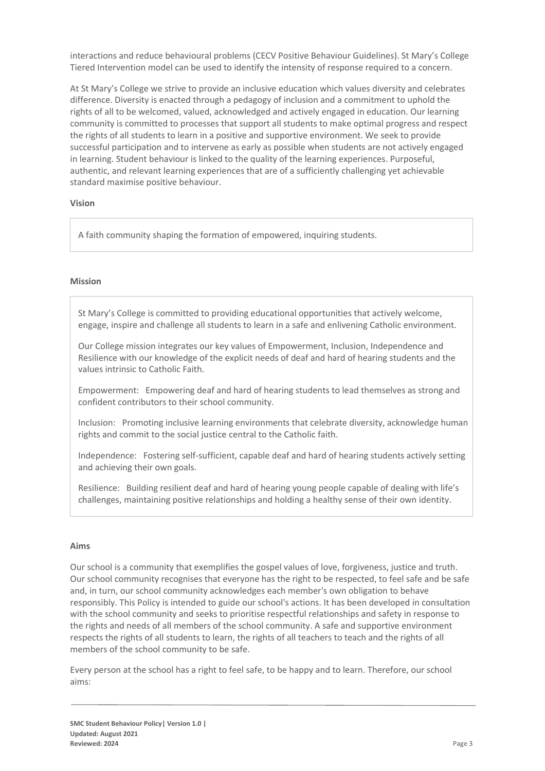interactions and reduce behavioural problems (CECV Positive Behaviour Guidelines). St Mary's College Tiered Intervention model can be used to identify the intensity of response required to a concern.

At St Mary's College we strive to provide an inclusive education which values diversity and celebrates difference. Diversity is enacted through a pedagogy of inclusion and a commitment to uphold the rights of all to be welcomed, valued, acknowledged and actively engaged in education. Our learning community is committed to processes that support all students to make optimal progress and respect the rights of all students to learn in a positive and supportive environment. We seek to provide successful participation and to intervene as early as possible when students are not actively engaged in learning. Student behaviour is linked to the quality of the learning experiences. Purposeful, authentic, and relevant learning experiences that are of a sufficiently challenging yet achievable standard maximise positive behaviour.

### **Vision**

A faith community shaping the formation of empowered, inquiring students.

#### **Mission**

St Mary's College is committed to providing educational opportunities that actively welcome, engage, inspire and challenge all students to learn in a safe and enlivening Catholic environment.

Our College mission integrates our key values of Empowerment, Inclusion, Independence and Resilience with our knowledge of the explicit needs of deaf and hard of hearing students and the values intrinsic to Catholic Faith.

Empowerment: Empowering deaf and hard of hearing students to lead themselves as strong and confident contributors to their school community.

Inclusion: Promoting inclusive learning environments that celebrate diversity, acknowledge human rights and commit to the social justice central to the Catholic faith.

Independence: Fostering self-sufficient, capable deaf and hard of hearing students actively setting and achieving their own goals.

Resilience: Building resilient deaf and hard of hearing young people capable of dealing with life's challenges, maintaining positive relationships and holding a healthy sense of their own identity.

#### **Aims**

Our school is a community that exemplifies the gospel values of love, forgiveness, justice and truth. Our school community recognises that everyone has the right to be respected, to feel safe and be safe and, in turn, our school community acknowledges each member's own obligation to behave responsibly. This Policy is intended to guide our school's actions. It has been developed in consultation with the school community and seeks to prioritise respectful relationships and safety in response to the rights and needs of all members of the school community. A safe and supportive environment respects the rights of all students to learn, the rights of all teachers to teach and the rights of all members of the school community to be safe.

Every person at the school has a right to feel safe, to be happy and to learn. Therefore, our school aims: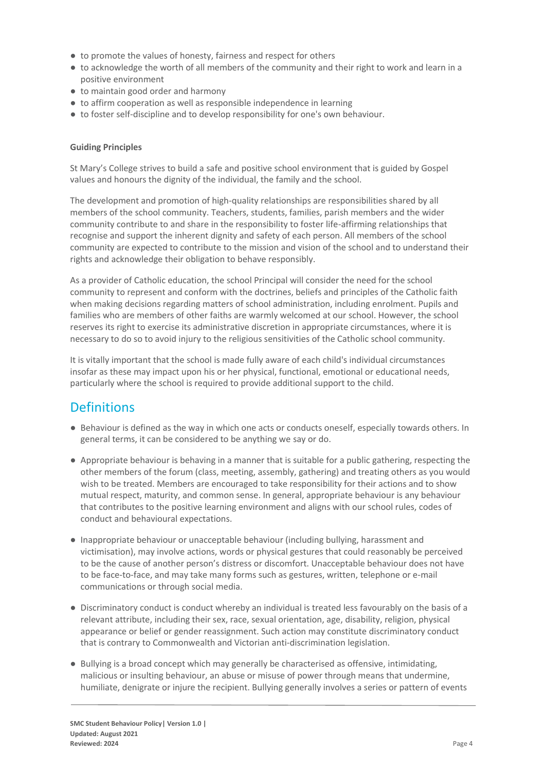- to promote the values of honesty, fairness and respect for others
- to acknowledge the worth of all members of the community and their right to work and learn in a positive environment
- to maintain good order and harmony
- to affirm cooperation as well as responsible independence in learning
- to foster self-discipline and to develop responsibility for one's own behaviour.

### **Guiding Principles**

St Mary's College strives to build a safe and positive school environment that is guided by Gospel values and honours the dignity of the individual, the family and the school.

The development and promotion of high-quality relationships are responsibilities shared by all members of the school community. Teachers, students, families, parish members and the wider community contribute to and share in the responsibility to foster life-affirming relationships that recognise and support the inherent dignity and safety of each person. All members of the school community are expected to contribute to the mission and vision of the school and to understand their rights and acknowledge their obligation to behave responsibly.

As a provider of Catholic education, the school Principal will consider the need for the school community to represent and conform with the doctrines, beliefs and principles of the Catholic faith when making decisions regarding matters of school administration, including enrolment. Pupils and families who are members of other faiths are warmly welcomed at our school. However, the school reserves its right to exercise its administrative discretion in appropriate circumstances, where it is necessary to do so to avoid injury to the religious sensitivities of the Catholic school community.

It is vitally important that the school is made fully aware of each child's individual circumstances insofar as these may impact upon his or her physical, functional, emotional or educational needs, particularly where the school is required to provide additional support to the child.

## **Definitions**

- Behaviour is defined as the way in which one acts or conducts oneself, especially towards others. In general terms, it can be considered to be anything we say or do.
- Appropriate behaviour is behaving in a manner that is suitable for a public gathering, respecting the other members of the forum (class, meeting, assembly, gathering) and treating others as you would wish to be treated. Members are encouraged to take responsibility for their actions and to show mutual respect, maturity, and common sense. In general, appropriate behaviour is any behaviour that contributes to the positive learning environment and aligns with our school rules, codes of conduct and behavioural expectations.
- Inappropriate behaviour or unacceptable behaviour (including bullying, harassment and victimisation), may involve actions, words or physical gestures that could reasonably be perceived to be the cause of another person's distress or discomfort. Unacceptable behaviour does not have to be face-to-face, and may take many forms such as gestures, written, telephone or e-mail communications or through social media.
- Discriminatory conduct is conduct whereby an individual is treated less favourably on the basis of a relevant attribute, including their sex, race, sexual orientation, age, disability, religion, physical appearance or belief or gender reassignment. Such action may constitute discriminatory conduct that is contrary to Commonwealth and Victorian anti-discrimination legislation.
- Bullying is a broad concept which may generally be characterised as offensive, intimidating, malicious or insulting behaviour, an abuse or misuse of power through means that undermine, humiliate, denigrate or injure the recipient. Bullying generally involves a series or pattern of events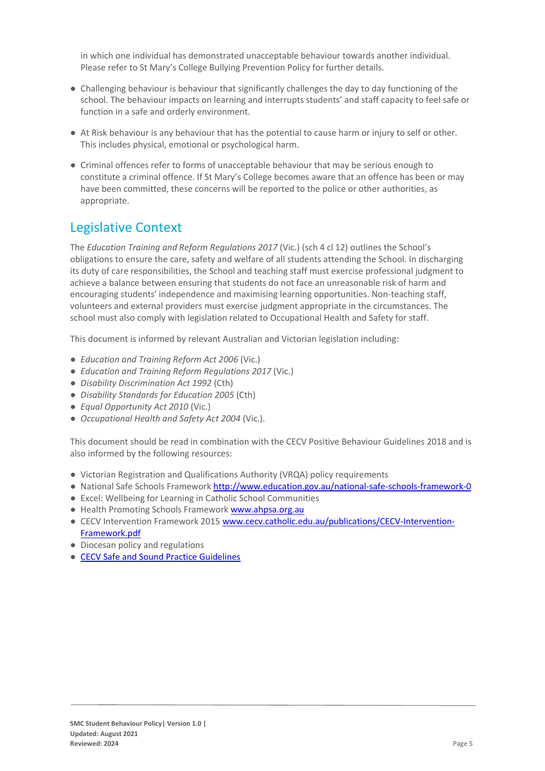in which one individual has demonstrated unacceptable behaviour towards another individual. Please refer to St Mary's College Bullying Prevention Policy for further details.

- Challenging behaviour is behaviour that significantly challenges the day to day functioning of the school. The behaviour impacts on learning and interrupts students' and staff capacity to feel safe or function in a safe and orderly environment.
- At Risk behaviour is any behaviour that has the potential to cause harm or injury to self or other. This includes physical, emotional or psychological harm.
- Criminal offences refer to forms of unacceptable behaviour that may be serious enough to constitute a criminal offence. If St Mary's College becomes aware that an offence has been or may have been committed, these concerns will be reported to the police or other authorities, as appropriate.

# Legislative Context

The *Education Training and Reform Regulations 2017* (Vic.) (sch 4 cl 12) outlines the School's obligations to ensure the care, safety and welfare of all students attending the School. In discharging its duty of care responsibilities, the School and teaching staff must exercise professional judgment to achieve a balance between ensuring that students do not face an unreasonable risk of harm and encouraging students' independence and maximising learning opportunities. Non-teaching staff, volunteers and external providers must exercise judgment appropriate in the circumstances. The school must also comply with legislation related to Occupational Health and Safety for staff.

This document is informed by relevant Australian and Victorian legislation including:

- *Education and Training Reform Act 2006* (Vic.)
- *Education and Training Reform Regulations 2017* (Vic.)
- *Disability Discrimination Act 1992* (Cth)
- *Disability Standards for Education 2005* (Cth)
- *Equal Opportunity Act 2010* (Vic.)
- *Occupational Health and Safety Act 2004* (Vic.).

This document should be read in combination with the CECV Positive Behaviour Guidelines 2018 and is also informed by the following resources:

- Victorian Registration and Qualifications Authority (VRQA) policy requirements
- National Safe Schools Framework<http://www.education.gov.au/national-safe-schools-framework-0>
- Excel: Wellbeing for Learning in Catholic School Communities
- Health Promoting Schools Framewor[k www.ahpsa.org.au](http://www.ahpsa.org.au/)
- CECV Intervention Framework 201[5 www.cecv.catholic.edu.au/publications/CECV-Intervention-](http://www.cecv.catholic.edu.au/publications/CECV-Intervention-Framework.pdf)[Framework.pdf](http://www.cecv.catholic.edu.au/publications/CECV-Intervention-Framework.pdf)
- Diocesan policy and regulations
- [CECV Safe and Sound Practice Guidelines](https://www.cecv.catholic.edu.au/getmedia/bad5e328-b5f9-4742-a66c-0c7f20ae21ff/Safe-and-Sound-Practice-Guidelines.aspx)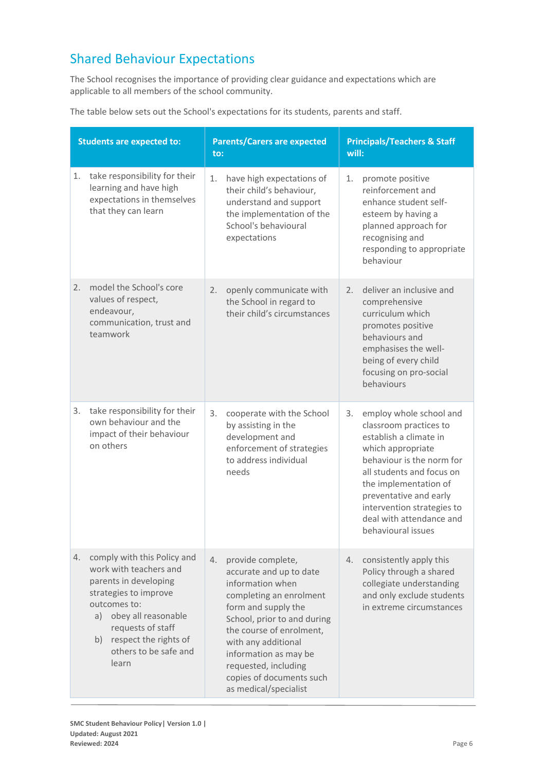# Shared Behaviour Expectations

The School recognises the importance of providing clear guidance and expectations which are applicable to all members of the school community.

| The table below sets out the School's expectations for its students, parents and staff. |  |
|-----------------------------------------------------------------------------------------|--|
|-----------------------------------------------------------------------------------------|--|

| <b>Students are expected to:</b>                                                                                                                                                                                                              | <b>Parents/Carers are expected</b><br>to:                                                                                                                                                                                                                                                                        | <b>Principals/Teachers &amp; Staff</b><br>will:                                                                                                                                                                                                                                                     |
|-----------------------------------------------------------------------------------------------------------------------------------------------------------------------------------------------------------------------------------------------|------------------------------------------------------------------------------------------------------------------------------------------------------------------------------------------------------------------------------------------------------------------------------------------------------------------|-----------------------------------------------------------------------------------------------------------------------------------------------------------------------------------------------------------------------------------------------------------------------------------------------------|
| take responsibility for their<br>1.<br>learning and have high<br>expectations in themselves<br>that they can learn                                                                                                                            | have high expectations of<br>1.<br>their child's behaviour,<br>understand and support<br>the implementation of the<br>School's behavioural<br>expectations                                                                                                                                                       | 1.<br>promote positive<br>reinforcement and<br>enhance student self-<br>esteem by having a<br>planned approach for<br>recognising and<br>responding to appropriate<br>behaviour                                                                                                                     |
| model the School's core<br>2.<br>values of respect,<br>endeavour,<br>communication, trust and<br>teamwork                                                                                                                                     | openly communicate with<br>2.<br>the School in regard to<br>their child's circumstances                                                                                                                                                                                                                          | deliver an inclusive and<br>2.<br>comprehensive<br>curriculum which<br>promotes positive<br>behaviours and<br>emphasises the well-<br>being of every child<br>focusing on pro-social<br>behaviours                                                                                                  |
| take responsibility for their<br>3.<br>own behaviour and the<br>impact of their behaviour<br>on others                                                                                                                                        | 3.<br>cooperate with the School<br>by assisting in the<br>development and<br>enforcement of strategies<br>to address individual<br>needs                                                                                                                                                                         | employ whole school and<br>3.<br>classroom practices to<br>establish a climate in<br>which appropriate<br>behaviour is the norm for<br>all students and focus on<br>the implementation of<br>preventative and early<br>intervention strategies to<br>deal with attendance and<br>behavioural issues |
| comply with this Policy and<br>4.<br>work with teachers and<br>parents in developing<br>strategies to improve<br>outcomes to:<br>a) obey all reasonable<br>requests of staff<br>respect the rights of<br>b)<br>others to be safe and<br>learn | provide complete,<br>4.<br>accurate and up to date<br>information when<br>completing an enrolment<br>form and supply the<br>School, prior to and during<br>the course of enrolment,<br>with any additional<br>information as may be<br>requested, including<br>copies of documents such<br>as medical/specialist | consistently apply this<br>4.<br>Policy through a shared<br>collegiate understanding<br>and only exclude students<br>in extreme circumstances                                                                                                                                                       |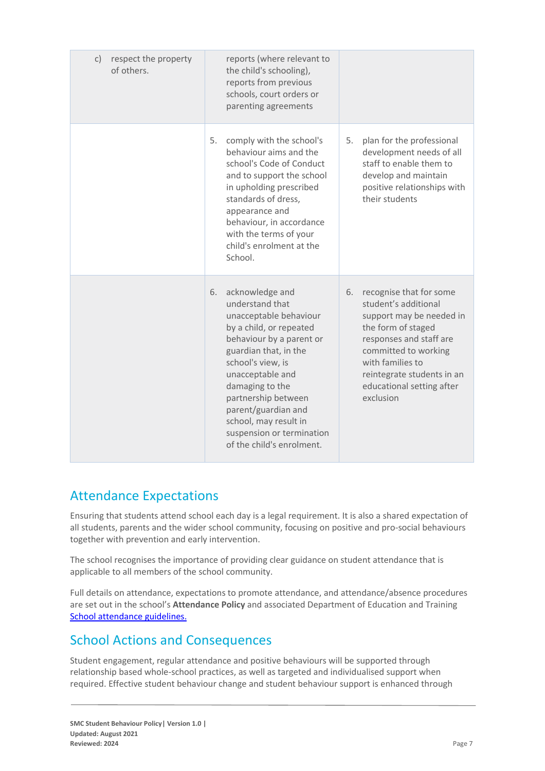| c) respect the property<br>of others. | reports (where relevant to<br>the child's schooling),<br>reports from previous<br>schools, court orders or<br>parenting agreements                                                                                                                                                                                                              |                                                                                                                                                                                                                                                        |
|---------------------------------------|-------------------------------------------------------------------------------------------------------------------------------------------------------------------------------------------------------------------------------------------------------------------------------------------------------------------------------------------------|--------------------------------------------------------------------------------------------------------------------------------------------------------------------------------------------------------------------------------------------------------|
|                                       | 5.<br>comply with the school's<br>behaviour aims and the<br>school's Code of Conduct<br>and to support the school<br>in upholding prescribed<br>standards of dress,<br>appearance and<br>behaviour, in accordance<br>with the terms of your<br>child's enrolment at the<br>School.                                                              | 5.<br>plan for the professional<br>development needs of all<br>staff to enable them to<br>develop and maintain<br>positive relationships with<br>their students                                                                                        |
|                                       | acknowledge and<br>6.<br>understand that<br>unacceptable behaviour<br>by a child, or repeated<br>behaviour by a parent or<br>guardian that, in the<br>school's view, is<br>unacceptable and<br>damaging to the<br>partnership between<br>parent/guardian and<br>school, may result in<br>suspension or termination<br>of the child's enrolment. | recognise that for some<br>6.<br>student's additional<br>support may be needed in<br>the form of staged<br>responses and staff are<br>committed to working<br>with families to<br>reintegrate students in an<br>educational setting after<br>exclusion |

# Attendance Expectations

Ensuring that students attend school each day is a legal requirement. It is also a shared expectation of all students, parents and the wider school community, focusing on positive and pro-social behaviours together with prevention and early intervention.

The school recognises the importance of providing clear guidance on student attendance that is applicable to all members of the school community.

Full details on attendance, expectations to promote attendance, and attendance/absence procedures are set out in the school's **Attendance Policy** and associated Department of Education and Training [School attendance guidelines.](https://www2.education.vic.gov.au/pal/attendance/guidance)

# School Actions and Consequences

Student engagement, regular attendance and positive behaviours will be supported through relationship based whole-school practices, as well as targeted and individualised support when required. Effective student behaviour change and student behaviour support is enhanced through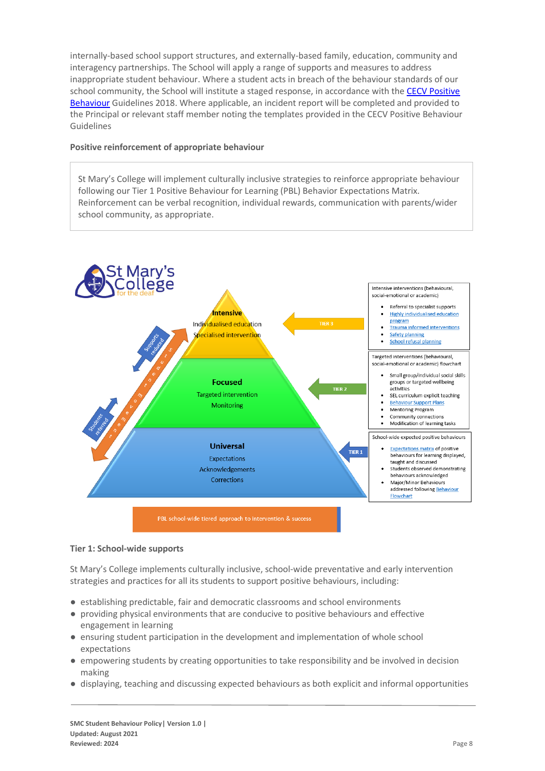internally-based school support structures, and externally-based family, education, community and interagency partnerships. The School will apply a range of supports and measures to address inappropriate student behaviour. Where a student acts in breach of the behaviour standards of our school community, the School will institute a staged response, in accordance with the [CECV Positive](https://www.cecv.catholic.edu.au/getmedia/bc1d235d-9a98-4bb4-b3ac-84b50fa7c639/CECV-Positive-Behaviour-Guidelines_FINAL2.aspx?ext=.pdf)  [Behaviour](https://www.cecv.catholic.edu.au/getmedia/bc1d235d-9a98-4bb4-b3ac-84b50fa7c639/CECV-Positive-Behaviour-Guidelines_FINAL2.aspx?ext=.pdf) Guidelines 2018. Where applicable, an incident report will be completed and provided to the Principal or relevant staff member noting the templates provided in the CECV Positive Behaviour Guidelines

### **Positive reinforcement of appropriate behaviour**

St Mary's College will implement culturally inclusive strategies to reinforce appropriate behaviour following our Tier 1 Positive Behaviour for Learning (PBL) Behavior Expectations Matrix. Reinforcement can be verbal recognition, individual rewards, communication with parents/wider school community, as appropriate.



### **Tier 1: School-wide supports**

St Mary's College implements culturally inclusive, school-wide preventative and early intervention strategies and practices for all its students to support positive behaviours, including:

- establishing predictable, fair and democratic classrooms and school environments
- providing physical environments that are conducive to positive behaviours and effective engagement in learning
- ensuring student participation in the development and implementation of whole school expectations
- empowering students by creating opportunities to take responsibility and be involved in decision making
- displaying, teaching and discussing expected behaviours as both explicit and informal opportunities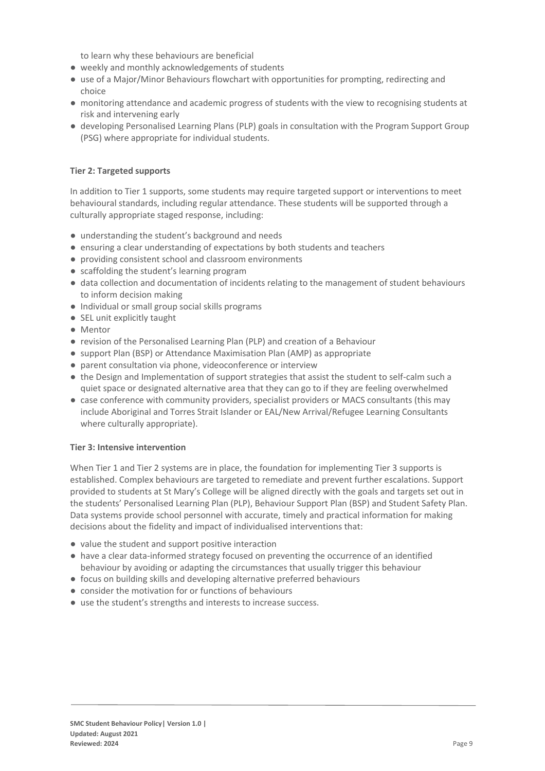to learn why these behaviours are beneficial

- weekly and monthly acknowledgements of students
- use of a Major/Minor Behaviours flowchart with opportunities for prompting, redirecting and choice
- monitoring attendance and academic progress of students with the view to recognising students at risk and intervening early
- developing Personalised Learning Plans (PLP) goals in consultation with the Program Support Group (PSG) where appropriate for individual students.

### **Tier 2: Targeted supports**

In addition to Tier 1 supports, some students may require targeted support or interventions to meet behavioural standards, including regular attendance. These students will be supported through a culturally appropriate staged response, including:

- understanding the student's background and needs
- ensuring a clear understanding of expectations by both students and teachers
- providing consistent school and classroom environments
- scaffolding the student's learning program
- data collection and documentation of incidents relating to the management of student behaviours to inform decision making
- Individual or small group social skills programs
- SEL unit explicitly taught
- Mentor
- revision of the Personalised Learning Plan (PLP) and creation of a Behaviour
- support Plan (BSP) or Attendance Maximisation Plan (AMP) as appropriate
- parent consultation via phone, videoconference or interview
- the Design and Implementation of support strategies that assist the student to self-calm such a quiet space or designated alternative area that they can go to if they are feeling overwhelmed
- case conference with community providers, specialist providers or MACS consultants (this may include Aboriginal and Torres Strait Islander or EAL/New Arrival/Refugee Learning Consultants where culturally appropriate).

### **Tier 3: Intensive intervention**

When Tier 1 and Tier 2 systems are in place, the foundation for implementing Tier 3 supports is established. Complex behaviours are targeted to remediate and prevent further escalations. Support provided to students at St Mary's College will be aligned directly with the goals and targets set out in the students' Personalised Learning Plan (PLP), Behaviour Support Plan (BSP) and Student Safety Plan. Data systems provide school personnel with accurate, timely and practical information for making decisions about the fidelity and impact of individualised interventions that:

- value the student and support positive interaction
- have a clear data-informed strategy focused on preventing the occurrence of an identified behaviour by avoiding or adapting the circumstances that usually trigger this behaviour
- focus on building skills and developing alternative preferred behaviours
- consider the motivation for or functions of behaviours
- use the student's strengths and interests to increase success.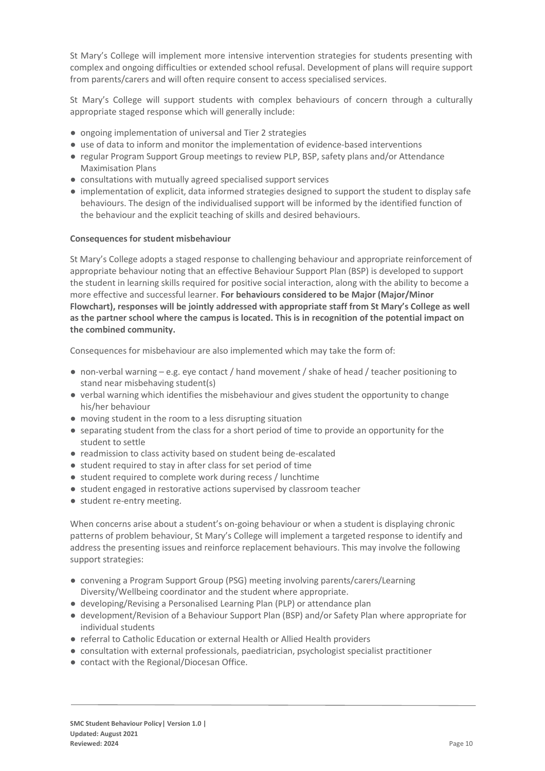St Mary's College will implement more intensive intervention strategies for students presenting with complex and ongoing difficulties or extended school refusal. Development of plans will require support from parents/carers and will often require consent to access specialised services.

St Mary's College will support students with complex behaviours of concern through a culturally appropriate staged response which will generally include:

- ongoing implementation of universal and Tier 2 strategies
- use of data to inform and monitor the implementation of evidence-based interventions
- regular Program Support Group meetings to review PLP, BSP, safety plans and/or Attendance Maximisation Plans
- consultations with mutually agreed specialised support services
- implementation of explicit, data informed strategies designed to support the student to display safe behaviours. The design of the individualised support will be informed by the identified function of the behaviour and the explicit teaching of skills and desired behaviours.

### **Consequences for student misbehaviour**

St Mary's College adopts a staged response to challenging behaviour and appropriate reinforcement of appropriate behaviour noting that an effective Behaviour Support Plan (BSP) is developed to support the student in learning skills required for positive social interaction, along with the ability to become a more effective and successful learner. **For behaviours considered to be Major (Major/Minor Flowchart), responses will be jointly addressed with appropriate staff from St Mary's College as well as the partner school where the campus is located. This is in recognition of the potential impact on the combined community.**

Consequences for misbehaviour are also implemented which may take the form of:

- non-verbal warning e.g. eye contact / hand movement / shake of head / teacher positioning to stand near misbehaving student(s)
- verbal warning which identifies the misbehaviour and gives student the opportunity to change his/her behaviour
- moving student in the room to a less disrupting situation
- separating student from the class for a short period of time to provide an opportunity for the student to settle
- readmission to class activity based on student being de-escalated
- student required to stay in after class for set period of time
- student required to complete work during recess / lunchtime
- student engaged in restorative actions supervised by classroom teacher
- student re-entry meeting.

When concerns arise about a student's on-going behaviour or when a student is displaying chronic patterns of problem behaviour, St Mary's College will implement a targeted response to identify and address the presenting issues and reinforce replacement behaviours. This may involve the following support strategies:

- convening a Program Support Group (PSG) meeting involving parents/carers/Learning Diversity/Wellbeing coordinator and the student where appropriate.
- developing/Revising a Personalised Learning Plan (PLP) or attendance plan
- development/Revision of a Behaviour Support Plan (BSP) and/or Safety Plan where appropriate for individual students
- referral to Catholic Education or external Health or Allied Health providers
- consultation with external professionals, paediatrician, psychologist specialist practitioner
- contact with the Regional/Diocesan Office.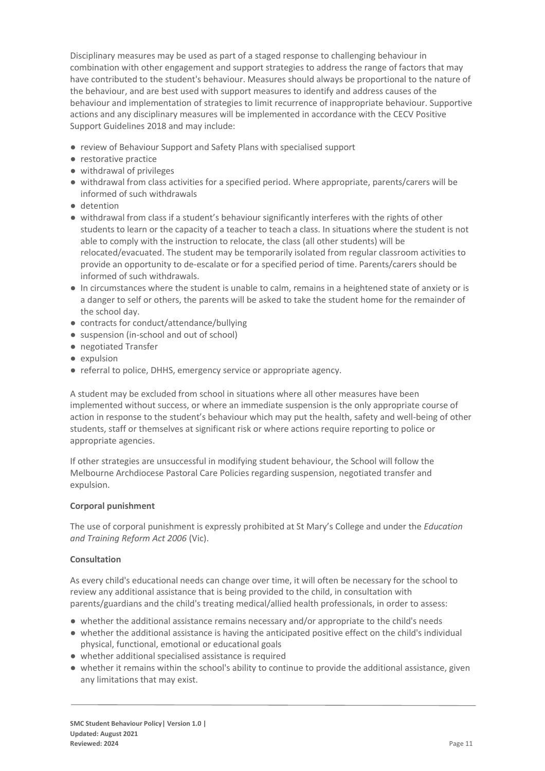Disciplinary measures may be used as part of a staged response to challenging behaviour in combination with other engagement and support strategies to address the range of factors that may have contributed to the student's behaviour. Measures should always be proportional to the nature of the behaviour, and are best used with support measures to identify and address causes of the behaviour and implementation of strategies to limit recurrence of inappropriate behaviour. Supportive actions and any disciplinary measures will be implemented in accordance with the CECV Positive Support Guidelines 2018 and may include:

- review of Behaviour Support and Safety Plans with specialised support
- restorative practice
- withdrawal of privileges
- withdrawal from class activities for a specified period. Where appropriate, parents/carers will be informed of such withdrawals
- detention
- withdrawal from class if a student's behaviour significantly interferes with the rights of other students to learn or the capacity of a teacher to teach a class. In situations where the student is not able to comply with the instruction to relocate, the class (all other students) will be relocated/evacuated. The student may be temporarily isolated from regular classroom activities to provide an opportunity to de-escalate or for a specified period of time. Parents/carers should be informed of such withdrawals.
- In circumstances where the student is unable to calm, remains in a heightened state of anxiety or is a danger to self or others, the parents will be asked to take the student home for the remainder of the school day.
- contracts for conduct/attendance/bullying
- suspension (in-school and out of school)
- negotiated Transfer
- expulsion
- referral to police, DHHS, emergency service or appropriate agency.

A student may be excluded from school in situations where all other measures have been implemented without success, or where an immediate suspension is the only appropriate course of action in response to the student's behaviour which may put the health, safety and well-being of other students, staff or themselves at significant risk or where actions require reporting to police or appropriate agencies.

If other strategies are unsuccessful in modifying student behaviour, the School will follow the Melbourne Archdiocese Pastoral Care Policies regarding suspension, negotiated transfer and expulsion.

### **Corporal punishment**

The use of corporal punishment is expressly prohibited at St Mary's College and under the *Education and Training Reform Act 2006* (Vic).

### **Consultation**

As every child's educational needs can change over time, it will often be necessary for the school to review any additional assistance that is being provided to the child, in consultation with parents/guardians and the child's treating medical/allied health professionals, in order to assess:

- whether the additional assistance remains necessary and/or appropriate to the child's needs
- whether the additional assistance is having the anticipated positive effect on the child's individual physical, functional, emotional or educational goals
- whether additional specialised assistance is required
- whether it remains within the school's ability to continue to provide the additional assistance, given any limitations that may exist.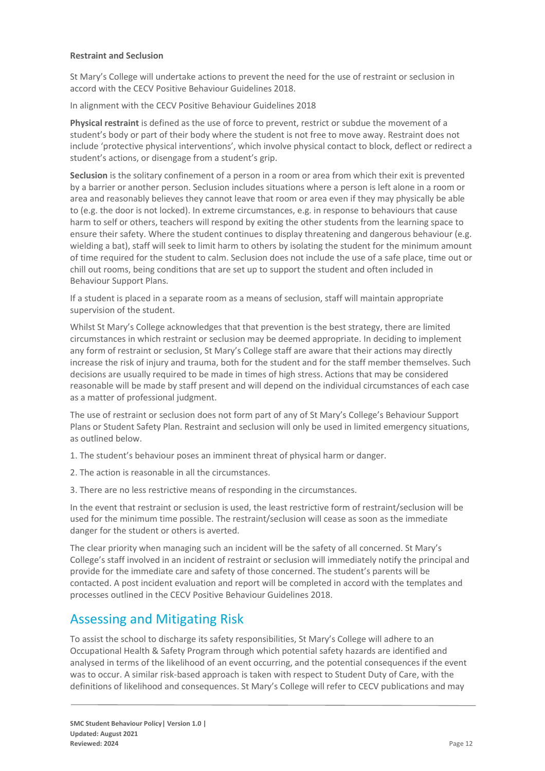### **Restraint and Seclusion**

St Mary's College will undertake actions to prevent the need for the use of restraint or seclusion in accord with the CECV Positive Behaviour Guidelines 2018.

In alignment with the CECV Positive Behaviour Guidelines 2018

**Physical restraint** is defined as the use of force to prevent, restrict or subdue the movement of a student's body or part of their body where the student is not free to move away. Restraint does not include 'protective physical interventions', which involve physical contact to block, deflect or redirect a student's actions, or disengage from a student's grip.

**Seclusion** is the solitary confinement of a person in a room or area from which their exit is prevented by a barrier or another person. Seclusion includes situations where a person is left alone in a room or area and reasonably believes they cannot leave that room or area even if they may physically be able to (e.g. the door is not locked). In extreme circumstances, e.g. in response to behaviours that cause harm to self or others, teachers will respond by exiting the other students from the learning space to ensure their safety. Where the student continues to display threatening and dangerous behaviour (e.g. wielding a bat), staff will seek to limit harm to others by isolating the student for the minimum amount of time required for the student to calm. Seclusion does not include the use of a safe place, time out or chill out rooms, being conditions that are set up to support the student and often included in Behaviour Support Plans.

If a student is placed in a separate room as a means of seclusion, staff will maintain appropriate supervision of the student.

Whilst St Mary's College acknowledges that that prevention is the best strategy, there are limited circumstances in which restraint or seclusion may be deemed appropriate. In deciding to implement any form of restraint or seclusion, St Mary's College staff are aware that their actions may directly increase the risk of injury and trauma, both for the student and for the staff member themselves. Such decisions are usually required to be made in times of high stress. Actions that may be considered reasonable will be made by staff present and will depend on the individual circumstances of each case as a matter of professional judgment.

The use of restraint or seclusion does not form part of any of St Mary's College's Behaviour Support Plans or Student Safety Plan. Restraint and seclusion will only be used in limited emergency situations, as outlined below.

1. The student's behaviour poses an imminent threat of physical harm or danger.

- 2. The action is reasonable in all the circumstances.
- 3. There are no less restrictive means of responding in the circumstances.

In the event that restraint or seclusion is used, the least restrictive form of restraint/seclusion will be used for the minimum time possible. The restraint/seclusion will cease as soon as the immediate danger for the student or others is averted.

The clear priority when managing such an incident will be the safety of all concerned. St Mary's College's staff involved in an incident of restraint or seclusion will immediately notify the principal and provide for the immediate care and safety of those concerned. The student's parents will be contacted. A post incident evaluation and report will be completed in accord with the templates and processes outlined in the CECV Positive Behaviour Guidelines 2018.

## Assessing and Mitigating Risk

To assist the school to discharge its safety responsibilities, St Mary's College will adhere to an Occupational Health & Safety Program through which potential safety hazards are identified and analysed in terms of the likelihood of an event occurring, and the potential consequences if the event was to occur. A similar risk-based approach is taken with respect to Student Duty of Care, with the definitions of likelihood and consequences. St Mary's College will refer to CECV publications and may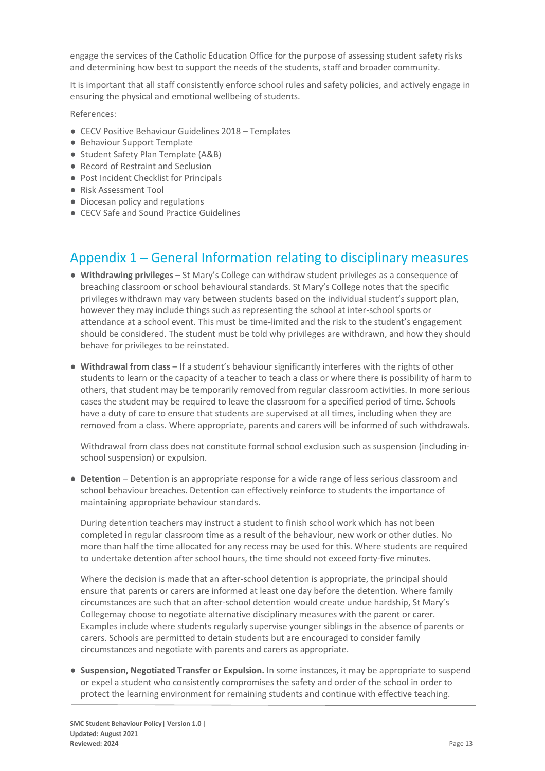engage the services of the Catholic Education Office for the purpose of assessing student safety risks and determining how best to support the needs of the students, staff and broader community.

It is important that all staff consistently enforce school rules and safety policies, and actively engage in ensuring the physical and emotional wellbeing of students.

References:

- CECV Positive Behaviour Guidelines 2018 Templates
- Behaviour Support Template
- Student Safety Plan Template (A&B)
- Record of Restraint and Seclusion
- Post Incident Checklist for Principals
- Risk Assessment Tool
- Diocesan policy and regulations
- CECV Safe and Sound Practice Guidelines

## Appendix 1 – General Information relating to disciplinary measures

- **Withdrawing privileges** St Mary's College can withdraw student privileges as a consequence of breaching classroom or school behavioural standards. St Mary's College notes that the specific privileges withdrawn may vary between students based on the individual student's support plan, however they may include things such as representing the school at inter-school sports or attendance at a school event. This must be time-limited and the risk to the student's engagement should be considered. The student must be told why privileges are withdrawn, and how they should behave for privileges to be reinstated.
- **Withdrawal from class** If a student's behaviour significantly interferes with the rights of other students to learn or the capacity of a teacher to teach a class or where there is possibility of harm to others, that student may be temporarily removed from regular classroom activities. In more serious cases the student may be required to leave the classroom for a specified period of time. Schools have a duty of care to ensure that students are supervised at all times, including when they are removed from a class. Where appropriate, parents and carers will be informed of such withdrawals.

Withdrawal from class does not constitute formal school exclusion such as suspension (including inschool suspension) or expulsion.

● **Detention** – Detention is an appropriate response for a wide range of less serious classroom and school behaviour breaches. Detention can effectively reinforce to students the importance of maintaining appropriate behaviour standards.

During detention teachers may instruct a student to finish school work which has not been completed in regular classroom time as a result of the behaviour, new work or other duties. No more than half the time allocated for any recess may be used for this. Where students are required to undertake detention after school hours, the time should not exceed forty-five minutes.

Where the decision is made that an after-school detention is appropriate, the principal should ensure that parents or carers are informed at least one day before the detention. Where family circumstances are such that an after-school detention would create undue hardship, St Mary's Collegemay choose to negotiate alternative disciplinary measures with the parent or carer. Examples include where students regularly supervise younger siblings in the absence of parents or carers. Schools are permitted to detain students but are encouraged to consider family circumstances and negotiate with parents and carers as appropriate.

● **Suspension, Negotiated Transfer or Expulsion.** In some instances, it may be appropriate to suspend or expel a student who consistently compromises the safety and order of the school in order to protect the learning environment for remaining students and continue with effective teaching.